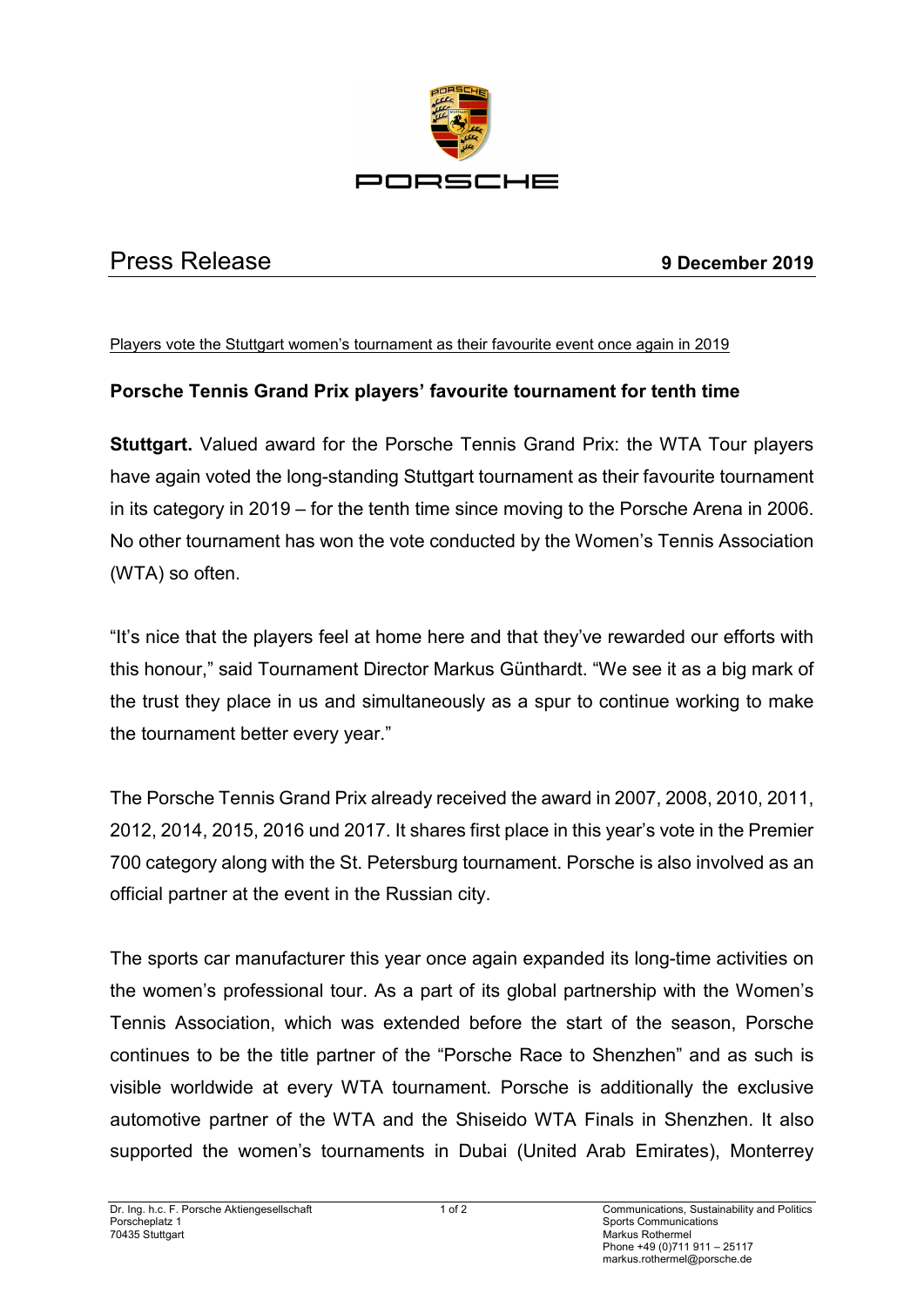

## Press Release **9 December 2019**

Players vote the Stuttgart women's tournament as their favourite event once again in 2019

## **Porsche Tennis Grand Prix players' favourite tournament for tenth time**

**Stuttgart.** Valued award for the Porsche Tennis Grand Prix: the WTA Tour players have again voted the long-standing Stuttgart tournament as their favourite tournament in its category in 2019 – for the tenth time since moving to the Porsche Arena in 2006. No other tournament has won the vote conducted by the Women's Tennis Association (WTA) so often.

"It's nice that the players feel at home here and that they've rewarded our efforts with this honour," said Tournament Director Markus Günthardt. "We see it as a big mark of the trust they place in us and simultaneously as a spur to continue working to make the tournament better every year."

The Porsche Tennis Grand Prix already received the award in 2007, 2008, 2010, 2011, 2012, 2014, 2015, 2016 und 2017. It shares first place in this year's vote in the Premier 700 category along with the St. Petersburg tournament. Porsche is also involved as an official partner at the event in the Russian city.

The sports car manufacturer this year once again expanded its long-time activities on the women's professional tour. As a part of its global partnership with the Women's Tennis Association, which was extended before the start of the season, Porsche continues to be the title partner of the "Porsche Race to Shenzhen" and as such is visible worldwide at every WTA tournament. Porsche is additionally the exclusive automotive partner of the WTA and the Shiseido WTA Finals in Shenzhen. It also supported the women's tournaments in Dubai (United Arab Emirates), Monterrey